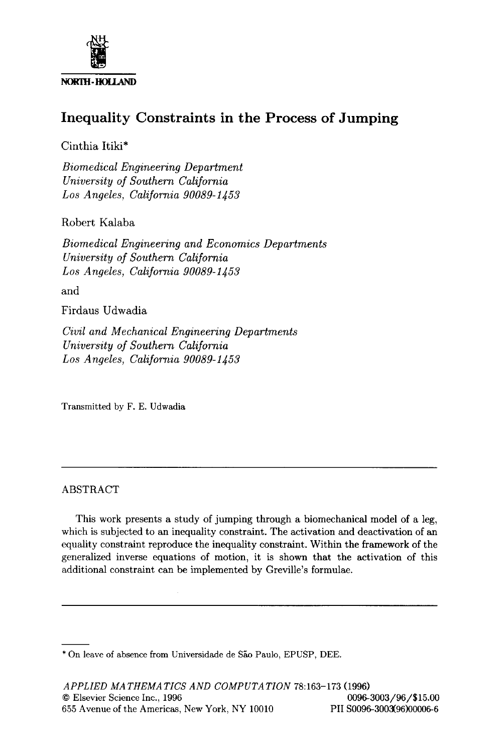

# **Inequality Constraints in the Process of Jumping**

Cinthia Itiki\*

*Biomedical Engineering Department University of Southern California Los Angeles, California 90089-1453* 

Robert Kalaba

*Biomedical Engineering and Economics Departments University of Southern California Los Angeles, California 90089-1453* 

and

Firdaus Udwadia

*Civil and Mechanical Engineering Departments University of Southern California Los Angeles, California 90089-1453* 

Transmitted by F. E. Udwadia

## ABSTRACT

This work presents a study of jumping through a biomechanical model of a leg, which is subjected to an inequality constraint. The activation and deactivation of an equality constraint reproduce the inequality constraint. Within the framework of **the**  generalized inverse equations of motion, it is shown that the activation of this additional constraint can be implemented by Greville's formulae.

<sup>\*</sup> On leave of absence from Universidade de São Paulo, EPUSP, DEE.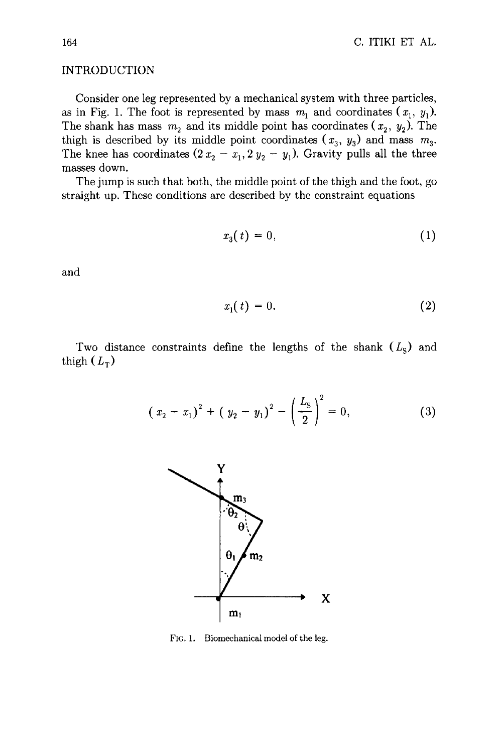## INTRODUCTION

Consider one leg represented by a mechanical system with three particles, as in Fig. 1. The foot is represented by mass  $m_1$  and coordinates  $(x_1, y_1)$ . The shank has mass  $m_2$  and its middle point has coordinates ( $x_2, y_2$ ). The thigh is described by its middle point coordinates  $(x_3, y_3)$  and mass  $m_3$ . The knee has coordinates (2  $x_2 - x_1, 2 y_2 - y_1$ ). Gravity pulls all the three masses down.

The jump is such that both, the middle point of the thigh and the foot, go straight up. These conditions are described by the constraint equations

$$
x_3(t) = 0,\t\t(1)
$$

and

$$
x_1(t) = 0. \tag{2}
$$

Two distance constraints define the lengths of the shank  $(L<sub>S</sub>)$  and thigh  $(L_T)$ 

$$
\left(x_2 - x_1\right)^2 + \left(y_2 - y_1\right)^2 - \left(\frac{L_S}{2}\right)^2 = 0,\tag{3}
$$



FIG. 1. Biomechanical model of the leg.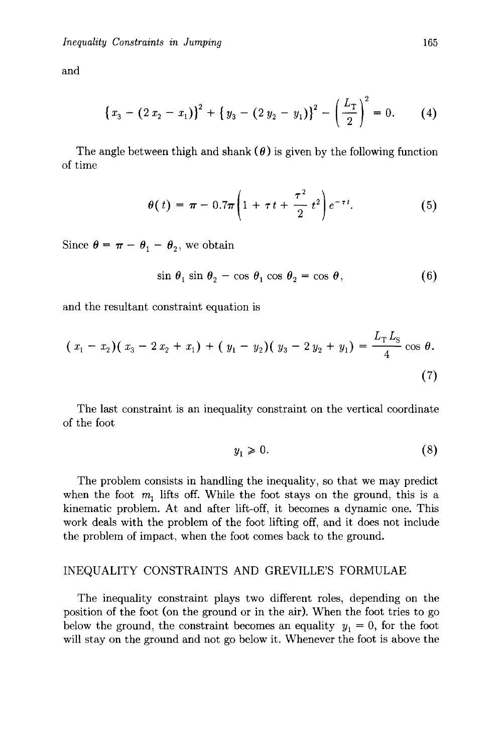and

$$
\left\{x_3 - \left(2\,x_2 - x_1\right)\right\}^2 + \left\{y_3 - \left(2\,y_2 - y_1\right)\right\}^2 - \left(\frac{L_T}{2}\right)^2 = 0. \tag{4}
$$

The angle between thigh and shank  $(\theta)$  is given by the following function of time

$$
\theta(t) = \pi - 0.7\pi \left( 1 + \tau t + \frac{\tau^2}{2} t^2 \right) e^{-\tau t}.
$$
 (5)

Since  $\theta = \pi - \theta_1 - \theta_2$ , we obtain

$$
\sin \theta_1 \sin \theta_2 - \cos \theta_1 \cos \theta_2 = \cos \theta, \tag{6}
$$

and the resultant constraint equation is

$$
(x_1 - x_2)(x_3 - 2x_2 + x_1) + (y_1 - y_2)(y_3 - 2y_2 + y_1) = \frac{L_{\rm T} L_{\rm S}}{4} \cos \theta.
$$
\n(7)

The last constraint is an inequality constraint on the vertical coordinate of the foot

$$
y_1 \geqslant 0. \tag{8}
$$

The problem consists in handling the inequality, so that we may predict when the foot  $m_1$  lifts off. While the foot stays on the ground, this is a kinematic problem. At and after lift-off, it becomes a dynamic one. This work deals with the problem of the foot lifting off, and it does not include the problem of impact, when the foot comes back to the ground.

#### INEQUALITY CONSTRAINTS AND GREVILLE'S FORMULAE

The inequality constraint plays two different roles, depending on the position of the foot (on the ground or in the air). When the foot tries to go below the ground, the constraint becomes an equality  $y_1 = 0$ , for the foot will stay on the ground and not go below it. Whenever the foot is above the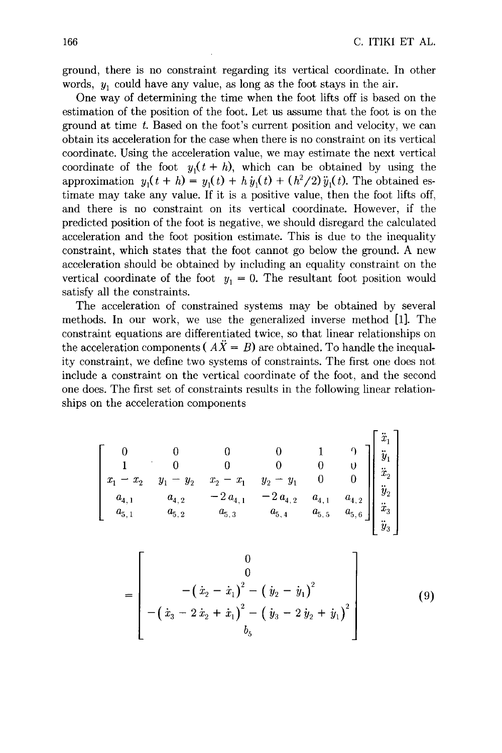ground, there is no constraint regarding its vertical coordinate. In other words,  $y_1$  could have any value, as long as the foot stays in the air.

One way of determining the time when the foot lifts off is based on the estimation of the position of the foot. Let us assume that the foot is on the ground at time t. Based on the foot's current position and velocity, we can obtain its acceleration for the case when there is no constraint on its vertical coordinate. Using the acceleration value, we may estimate the next vertical coordinate of the foot  $y_1(t + h)$ , which can be obtained by using the approximation  $y_1(t + h) = y_1(t) + h\dot{y}_1(t) + (h^2/2)\ddot{y}_1(t)$ . The obtained estimate may take any value. If it is a positive value, then the foot lifts off, and there is no constraint on its vertical coordinate. However, if the predicted position of the foot is negative, we should disregard the calculated acceleration and the foot position estimate. This is due to the inequality constraint, which states that the foot cannot go below the ground. A new acceleration should be obtained by including an equality constraint on the vertical coordinate of the foot  $y_1 = 0$ . The resultant foot position would satisfy all the constraints.

The acceleration of constrained systems may be obtained by several methods. In our work, we use the generalized inverse method [1]. The constraint equations are differentiated twice, so that linear relationships on the acceleration components ( $\overrightarrow{AX} = B$ ) are obtained. To handle the inequality constraint, we define two systems of constraints. The first one does not include a constraint on the vertical coordinate of the foot, and the second one does. The first set of constraints results in the following linear relationships on the acceleration components

$$
\begin{bmatrix}\n0 & 0 & 0 & 0 & 1 & 0 \\
1 & 0 & 0 & 0 & 0 & 0 \\
x_1 - x_2 & y_1 - y_2 & x_2 - x_1 & y_2 - y_1 & 0 & 0 \\
a_{4,1} & a_{4,2} & -2 a_{4,1} & -2 a_{4,2} & a_{4,1} & a_{4,2} \\
a_{5,1} & a_{5,2} & a_{5,3} & a_{5,4} & a_{5,5} & a_{5,6}\n\end{bmatrix}\n\begin{bmatrix}\n\ddot{x}_1 \\
\ddot{y}_1 \\
\ddot{x}_2 \\
\ddot{y}_2 \\
\ddot{y}_3\n\end{bmatrix}
$$

$$
= \left[\begin{array}{c} 0 \\ 0 \\ -( \dot{x}_2 - \dot{x}_1)^2 - (\dot{y}_2 - \dot{y}_1)^2 \\ -( \dot{x}_3 - 2 \dot{x}_2 + \dot{x}_1)^2 - (\dot{y}_3 - 2 \dot{y}_2 + \dot{y}_1)^2 \\ b_5 \end{array}\right] \qquad (9)
$$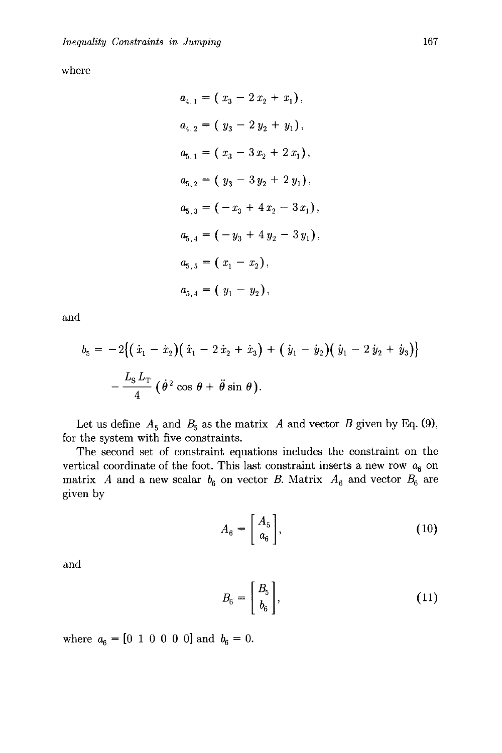where

$$
a_{4,1} = (x_3 - 2x_2 + x_1),
$$
  
\n
$$
a_{4,2} = (y_3 - 2y_2 + y_1),
$$
  
\n
$$
a_{5,1} = (x_3 - 3x_2 + 2x_1),
$$
  
\n
$$
a_{5,2} = (y_3 - 3y_2 + 2y_1),
$$
  
\n
$$
a_{5,3} = (-x_3 + 4x_2 - 3x_1),
$$
  
\n
$$
a_{5,4} = (-y_3 + 4y_2 - 3y_1),
$$
  
\n
$$
a_{5,5} = (x_1 - x_2),
$$
  
\n
$$
a_{5,4} = (y_1 - y_2),
$$

and

$$
b_5 = -2[(\dot{x}_1 - \dot{x}_2)(\dot{x}_1 - 2\dot{x}_2 + \dot{x}_3) + (\dot{y}_1 - \dot{y}_2)(\dot{y}_1 - 2\dot{y}_2 + \dot{y}_3)] - \frac{L_5 L_T}{4} (\dot{\theta}^2 \cos \theta + \ddot{\theta} \sin \theta).
$$

Let us define  $A_5$  and  $B_5$  as the matrix A and vector B given by Eq. (9), for the system with five constraints.

The second set of constraint equations includes the constraint on the vertical coordinate of the foot. This last constraint inserts a new row  $a_6$  on matrix A and a new scalar  $b_6$  on vector B. Matrix  $A_6$  and vector  $B_6$  are given by

$$
A_6 = \left[ \begin{array}{c} A_5 \\ a_6 \end{array} \right], \tag{10}
$$

and

$$
B_6 = \left[\begin{array}{c} B_5 \\ b_6 \end{array}\right],\tag{11}
$$

where  $a_6 = [0 \ 1 \ 0 \ 0 \ 0 \ 0]$  and  $b_6 = 0$ .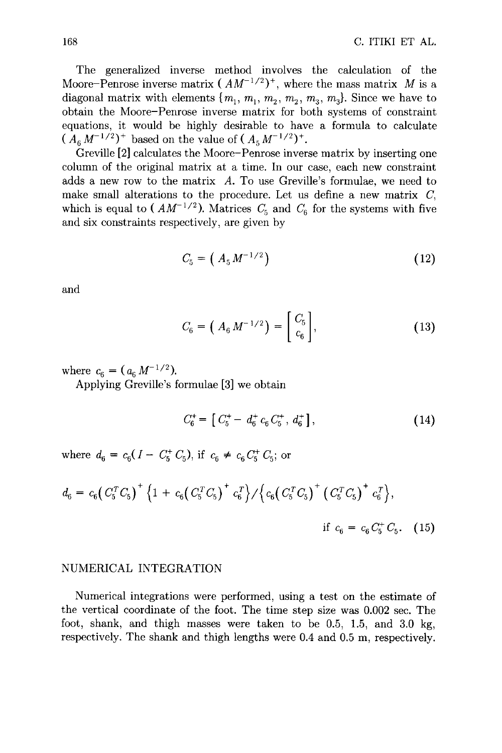The generalized inverse method involves the calculation of the Moore-Penrose inverse matrix  $(AM^{-1/2})^+$ , where the mass matrix M is a diagonal matrix with elements  $\{m_1, m_1, m_2, m_3, m_3, m_4\}$ . Since we have to obtain the Moore-Penrose inverse matrix for both systems of constraint equations, it would be highly desirable to have a formula to calculate  $(A_6 M^{-1/2})^+$  based on the value of  $(A_5 M^{-1/2})^+$ .

Greville [2] calculates the Moore-Penrose inverse matrix by inserting one column of the original matrix at a time. In our case, each new constraint adds a new row to the matrix A. To use Greville's formulae, we need to make small alterations to the procedure. Let us define a new matrix  $C$ , which is equal to ( $AM^{-1/2}$ ). Matrices  $C_5$  and  $C_6$  for the systems with five and six constraints respectively, are given by

$$
C_5 = (A_5 M^{-1/2}) \tag{12}
$$

and

$$
C_6 = \left(A_6 M^{-1/2}\right) = \begin{bmatrix} C_5 \\ c_6 \end{bmatrix},\tag{13}
$$

where  $c_6 = (a_6 M^{-1/2})$ .

Applying Greville's formulae [3] we obtain

$$
C_6^+ = \left[ C_5^+ - d_6^+ c_6 C_5^+, d_6^+ \right], \tag{14}
$$

where  $d_6 = c_6(I - C_5^+ C_5)$ , if  $c_6 \neq c_6 C_5^+ C_5$ ; or

$$
d_6 = c_6 \left( C_5^T C_5 \right)^+ \left\{ 1 + c_6 \left( C_5^T C_5 \right)^+ c_6^T \right\} / \left\{ c_6 \left( C_5^T C_5 \right)^+ \left( C_5^T C_5 \right)^+ c_6^T \right\},
$$
  
if  $c_6 = c_6 C_5^+ C_5$ . (15)

#### NUMERICAL INTEGRATION

Numerical integrations were performed, using a test on the estimate of the vertical coordinate of the foot. The time step size was 0.002 sec. The foot, shank, and thigh masses were taken to be 0.5, 1.5, and 3.0 kg, respectively. The shank and thigh lengths were 0.4 and 0.5 m, respectively.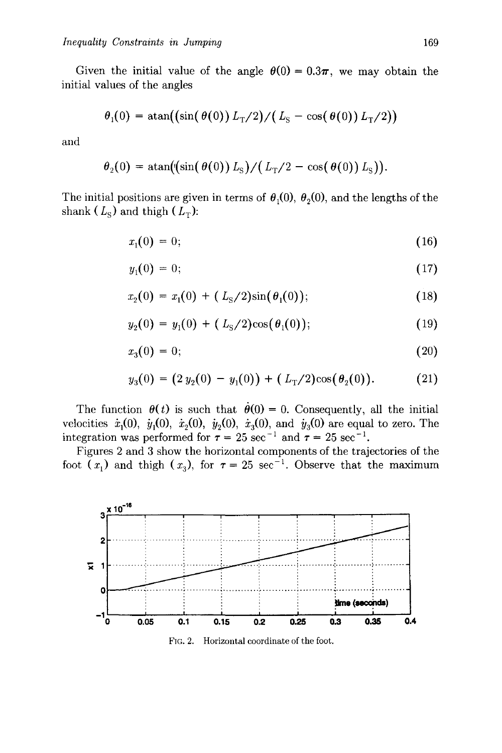Given the initial value of the angle  $\theta(0) = 0.3\pi$ , we may obtain the initial values of the angles

$$
\theta_1(0) = \operatorname{atan}((\sin(\theta(0)) L_T/2)/(L_S - \cos(\theta(0)) L_T/2))
$$

and

$$
\theta_2(0) = \operatorname{atan}((\sin(\theta(0)) L_{\rm S})/(L_{\rm T}/2 - \cos(\theta(0)) L_{\rm S})).
$$

The initial positions are given in terms of  $\theta_1(0)$ ,  $\theta_2(0)$ , and the lengths of the shank ( $L_{\rm S}$ ) and thigh ( $L_{\rm T}$ ):

$$
x_1(0) = 0; \t\t(16)
$$

$$
y_1(0) = 0; \t(17)
$$

$$
x_2(0) = x_1(0) + (L_S/2)\sin(\theta_1(0)); \qquad (18)
$$

$$
y_2(0) = y_1(0) + (L_S/2)\cos(\theta_1(0)); \qquad (19)
$$

$$
x_3(0) = 0; \t\t(20)
$$

$$
y_3(0) = (2 y_2(0) - y_1(0)) + (L_T/2)\cos(\theta_2(0)). \tag{21}
$$

The function  $\theta(t)$  is such that  $\dot{\theta}(0) = 0$ . Consequently, all the initial velocities  $\dot{x}_1(0), \dot{y}_1(0), \dot{x}_2(0), \dot{y}_2(0), \dot{x}_3(0)$ , and  $\dot{y}_3(0)$  are equal to zero. The integration was performed for  $\tau = 25 \text{ sec}^{-1}$  and  $\tau = 25 \text{ sec}^{-1}$ .

Figures 2 and 3 show the horizontal components of the trajectories of the foot  $(x_1)$  and thigh  $(x_3)$ , for  $\tau = 25 \text{ sec}^{-1}$ . Observe that the maximum



FIG. 2. Horizontal coordinate of the foot.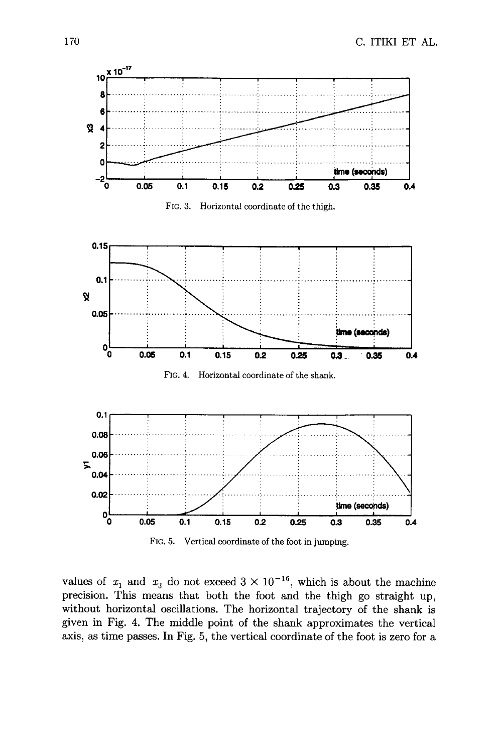

values of  $x_1$  and  $x_3$  do not exceed  $3 \times 10^{-16}$ , which is about the machine precision. This means that both the foot and the thigh go straight up, without horizontal oscillations. The horizontal trajectory of the shank is given in Fig. 4. The middle point of the shank approximates the vertical axis, as time passes. In Fig. 5, the vertical coordinate of the foot is zero for a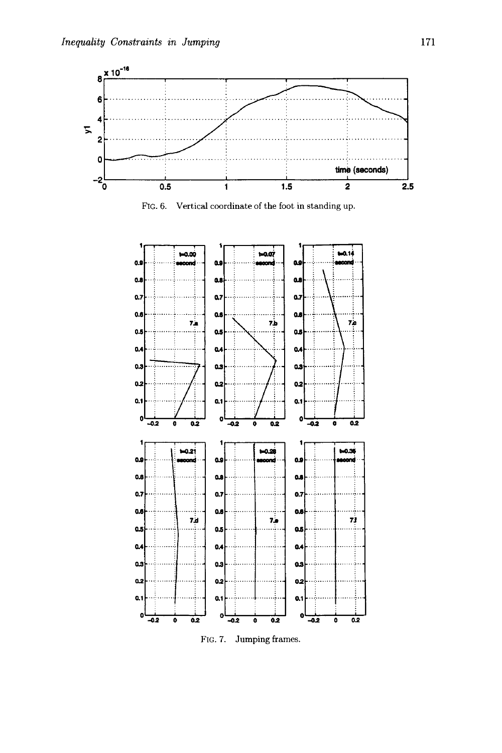





FIG. 7. Jumping frames.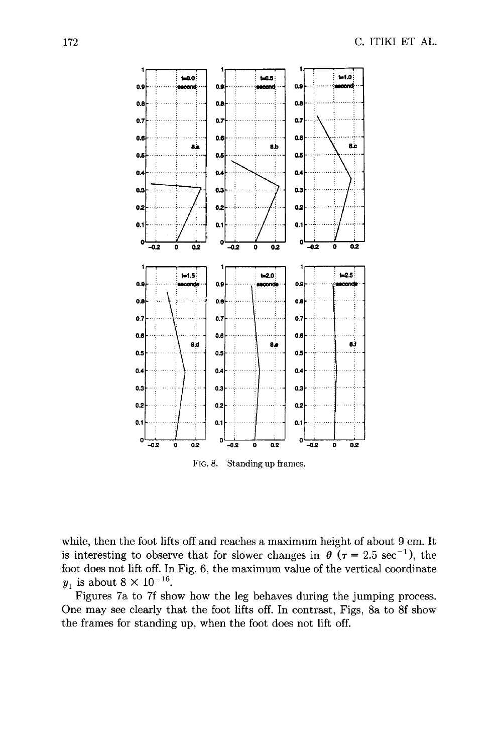

FIG. 8. Standing up frames.

while, then the foot lifts off and reaches a maximum height of about 9 cm. It is interesting to observe that for slower changes in  $\theta$  ( $\tau = 2.5 \text{ sec}^{-1}$ ), the foot does not lift off. In Fig. 6, the maximum value of the vertical coordinate  $y_1$  is about  $8 \times 10^{-16}$ .

Figures 7a to 7f show how the leg behaves during the jumping process. One may see clearly that the foot lifts off. In contrast, Figs, 8a to 8f show the frames for standing up, when the foot does not lift off.